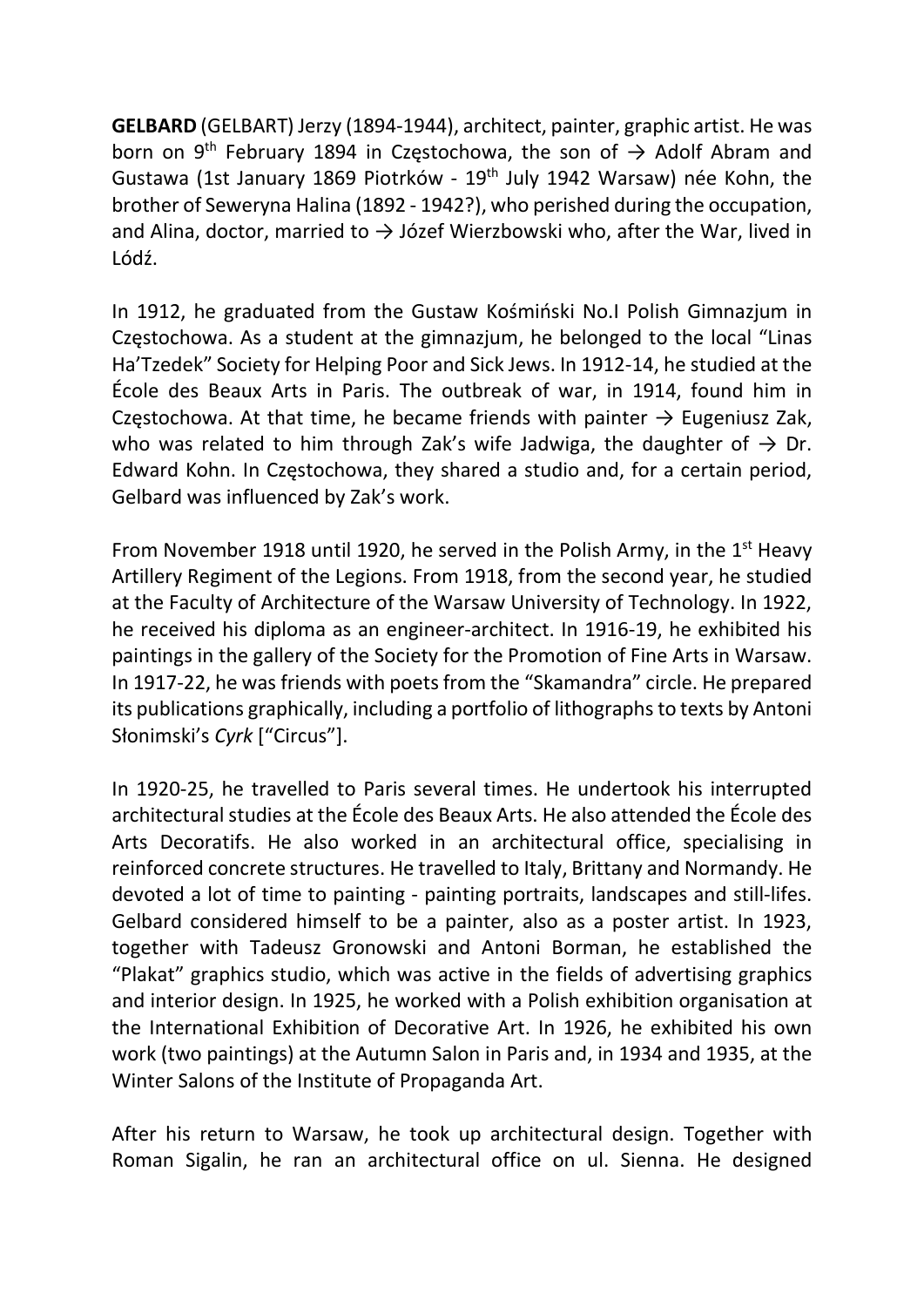GELBARD (GELBART) Jerzy (1894-1944), architect, painter, graphic artist. He was born on 9<sup>th</sup> February 1894 in Częstochowa, the son of  $\rightarrow$  Adolf Abram and Gustawa (1st January 1869 Piotrków - 19th July 1942 Warsaw) née Kohn, the brother of Seweryna Halina (1892 - 1942?), who perished during the occupation, and Alina, doctor, married to  $\rightarrow$  Józef Wierzbowski who, after the War, lived in Lódź.

In 1912, he graduated from the Gustaw Kośmiński No.I Polish Gimnazjum in Częstochowa. As a student at the gimnazjum, he belonged to the local "Linas Ha'Tzedek" Society for Helping Poor and Sick Jews. In 1912-14, he studied at the École des Beaux Arts in Paris. The outbreak of war, in 1914, found him in Częstochowa. At that time, he became friends with painter  $\rightarrow$  Eugeniusz Zak, who was related to him through Zak's wife Jadwiga, the daughter of  $\rightarrow$  Dr. Edward Kohn. In Częstochowa, they shared a studio and, for a certain period, Gelbard was influenced by Zak's work.

From November 1918 until 1920, he served in the Polish Army, in the  $1<sup>st</sup>$  Heavy Artillery Regiment of the Legions. From 1918, from the second year, he studied at the Faculty of Architecture of the Warsaw University of Technology. In 1922, he received his diploma as an engineer-architect. In 1916-19, he exhibited his paintings in the gallery of the Society for the Promotion of Fine Arts in Warsaw. In 1917-22, he was friends with poets from the "Skamandra" circle. He prepared its publications graphically, including a portfolio of lithographs to texts by Antoni Słonimski's Cyrk ["Circus"].

In 1920-25, he travelled to Paris several times. He undertook his interrupted architectural studies at the École des Beaux Arts. He also attended the École des Arts Decoratifs. He also worked in an architectural office, specialising in reinforced concrete structures. He travelled to Italy, Brittany and Normandy. He devoted a lot of time to painting - painting portraits, landscapes and still-lifes. Gelbard considered himself to be a painter, also as a poster artist. In 1923, together with Tadeusz Gronowski and Antoni Borman, he established the "Plakat" graphics studio, which was active in the fields of advertising graphics and interior design. In 1925, he worked with a Polish exhibition organisation at the International Exhibition of Decorative Art. In 1926, he exhibited his own work (two paintings) at the Autumn Salon in Paris and, in 1934 and 1935, at the Winter Salons of the Institute of Propaganda Art.

After his return to Warsaw, he took up architectural design. Together with Roman Sigalin, he ran an architectural office on ul. Sienna. He designed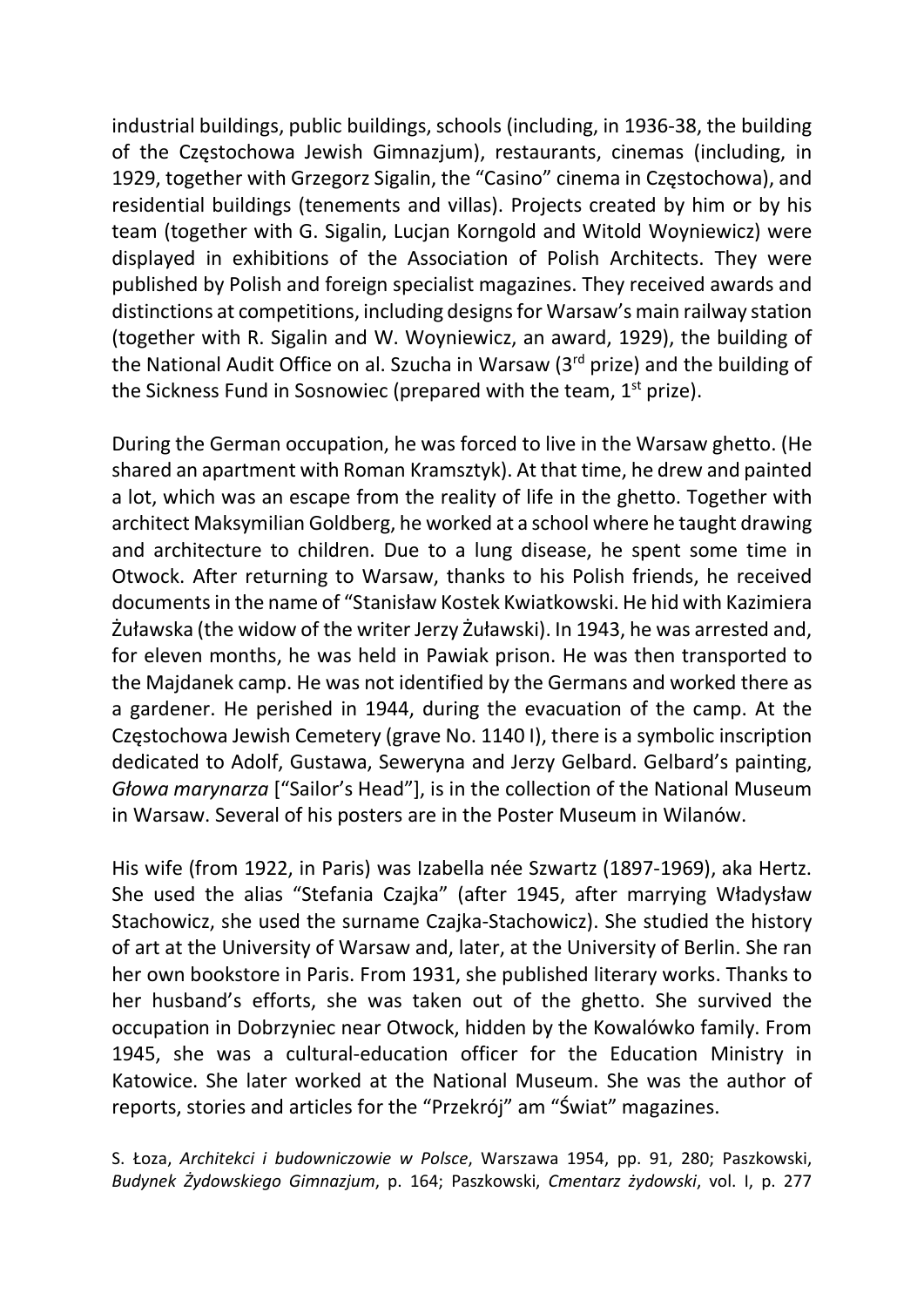industrial buildings, public buildings, schools (including, in 1936-38, the building of the Częstochowa Jewish Gimnazjum), restaurants, cinemas (including, in 1929, together with Grzegorz Sigalin, the "Casino" cinema in Częstochowa), and residential buildings (tenements and villas). Projects created by him or by his team (together with G. Sigalin, Lucjan Korngold and Witold Woyniewicz) were displayed in exhibitions of the Association of Polish Architects. They were published by Polish and foreign specialist magazines. They received awards and distinctions at competitions, including designs for Warsaw's main railway station (together with R. Sigalin and W. Woyniewicz, an award, 1929), the building of the National Audit Office on al. Szucha in Warsaw (3rd prize) and the building of the Sickness Fund in Sosnowiec (prepared with the team, 1<sup>st</sup> prize).

During the German occupation, he was forced to live in the Warsaw ghetto. (He shared an apartment with Roman Kramsztyk). At that time, he drew and painted a lot, which was an escape from the reality of life in the ghetto. Together with architect Maksymilian Goldberg, he worked at a school where he taught drawing and architecture to children. Due to a lung disease, he spent some time in Otwock. After returning to Warsaw, thanks to his Polish friends, he received documents in the name of "Stanisław Kostek Kwiatkowski. He hid with Kazimiera Żuławska (the widow of the writer Jerzy Żuławski). In 1943, he was arrested and, for eleven months, he was held in Pawiak prison. He was then transported to the Majdanek camp. He was not identified by the Germans and worked there as a gardener. He perished in 1944, during the evacuation of the camp. At the Częstochowa Jewish Cemetery (grave No. 1140 I), there is a symbolic inscription dedicated to Adolf, Gustawa, Seweryna and Jerzy Gelbard. Gelbard's painting, Głowa marynarza ["Sailor's Head"], is in the collection of the National Museum in Warsaw. Several of his posters are in the Poster Museum in Wilanów.

His wife (from 1922, in Paris) was Izabella née Szwartz (1897-1969), aka Hertz. She used the alias "Stefania Czajka" (after 1945, after marrying Władysław Stachowicz, she used the surname Czajka-Stachowicz). She studied the history of art at the University of Warsaw and, later, at the University of Berlin. She ran her own bookstore in Paris. From 1931, she published literary works. Thanks to her husband's efforts, she was taken out of the ghetto. She survived the occupation in Dobrzyniec near Otwock, hidden by the Kowalówko family. From 1945, she was a cultural-education officer for the Education Ministry in Katowice. She later worked at the National Museum. She was the author of reports, stories and articles for the "Przekrój" am "Świat" magazines.

S. Łoza, Architekci i budowniczowie w Polsce, Warszawa 1954, pp. 91, 280; Paszkowski, Budynek Żydowskiego Gimnazjum, p. 164; Paszkowski, Cmentarz żydowski, vol. I, p. 277